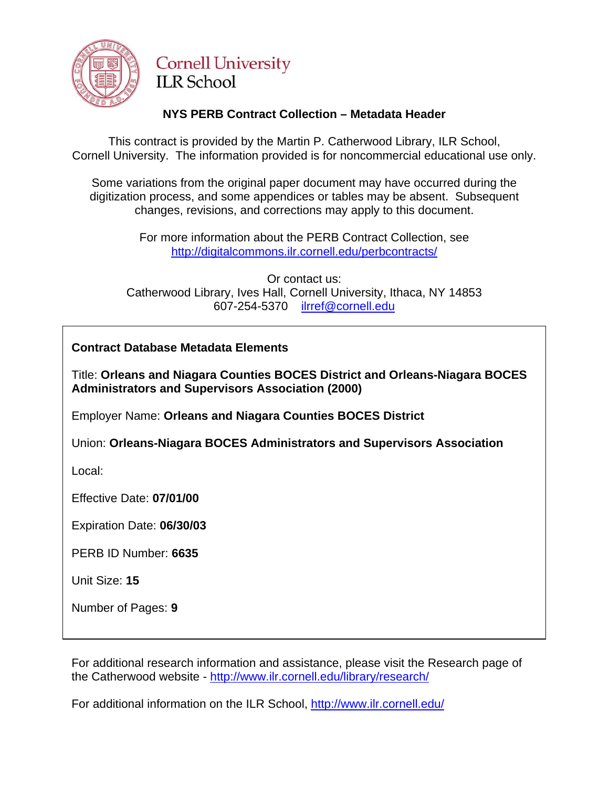

# **Cornell University ILR School**

## **NYS PERB Contract Collection – Metadata Header**

This contract is provided by the Martin P. Catherwood Library, ILR School, Cornell University. The information provided is for noncommercial educational use only.

Some variations from the original paper document may have occurred during the digitization process, and some appendices or tables may be absent. Subsequent changes, revisions, and corrections may apply to this document.

> For more information about the PERB Contract Collection, see http://digitalcommons.ilr.cornell.edu/perbcontracts/

Or contact us: Catherwood Library, Ives Hall, Cornell University, Ithaca, NY 14853 607-254-5370 [ilrref@cornell.edu](mailto:ilrref@cornell.edu)

**Contract Database Metadata Elements** 

Title: **Orleans and Niagara Counties BOCES District and Orleans-Niagara BOCES Administrators and Supervisors Association (2000)** 

Employer Name: **Orleans and Niagara Counties BOCES District** 

Union: **Orleans-Niagara BOCES Administrators and Supervisors Association** 

Local:

Effective Date: **07/01/00** 

Expiration Date: **06/30/03** 

PERB ID Number: **6635** 

Unit Size: **15** 

Number of Pages: **9** 

For additional research information and assistance, please visit the Research page of the Catherwood website -<http://www.ilr.cornell.edu/library/research/>

For additional information on the ILR School, <http://www.ilr.cornell.edu/>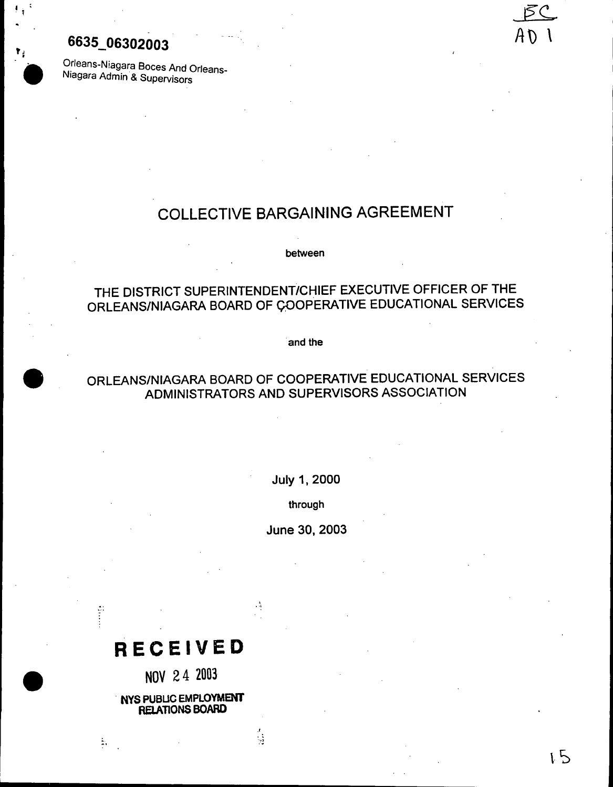## 6635\_06302003'

I : . ;

,~

**.** 

Orleans-Niagara Boces And Orleans-Niagara Admin & Supervisors

## COLLECTIVE BARGAINING AGREEMENT

between

## THE DISTRICT SUPERINTENDENT/CHIEF EXECUTIVE OFFICER OF THE ORLEANS/NIAGARA BOARD OF COOPERATIVE EDUCATIONAL SERVICES

'and the

## . ORLEANS/NIAGARA BOARD OF COOPERATIVE EDUCATIONAL SERVICES ADMINISTRATORS AND SUPERVISORS ASSOCIATION

July 1, 2000

through

June 30, 2003

 $1\overline{5}$ 

\_]

 $A \mathcal{D}$  1

. 0-1

 $\frac{1}{2}$ 

# **RECEIVED**

.

NOV 2 4 <sup>2003</sup>

NYS PUBLIC EMPLOYMENT **RELATIONS BOARD** 

..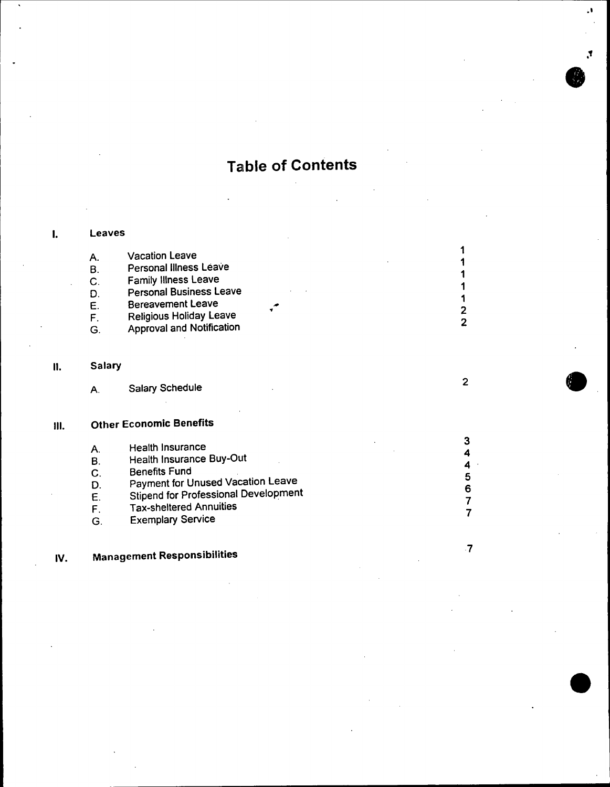# **Table of Contents**

## I. Leaves A. Vacation Leave 1<br>1 B. Personal Illness Leave 1 and 2008 1 and 2008 1 and 2008 1 and 2008 1 and 2008 1 and 2008 1 and 2008 1 and 2008 1 and 2008 1 and 2008 1 and 2008 1 and 2008 1 and 2008 1 and 2008 1 and 2008 1 and 2008 1 and 2008 1 and 200 c. Family Illness Leave 1<br>1 D. Personal Business Leave<br>
E. Bereavement Leave E. Bereavement Leave .# <sup>1</sup> E. Borogramm Dennes (1999)<br>F. Religious Holiday Leave (1999) 2014 G. Approval and Notification <sup>2</sup> II. Salary A. Salary Schedule <sup>2</sup> . III. Other Economic Benefits

|    | <b>Health Insurance</b>                     |   |
|----|---------------------------------------------|---|
| Α. |                                             | 4 |
| в  | Health Insurance Buy-Out                    |   |
|    | <b>Benefits Fund</b>                        | 4 |
| C. |                                             | 5 |
| D. | Payment for Unused Vacation Leave           | 6 |
|    | <b>Stipend for Professional Development</b> |   |
| Е  |                                             | 7 |
| F  | <b>Tax-sheltered Annuities</b>              |   |
|    | <b>Exemplary Service</b>                    |   |
| G  |                                             |   |

7

.

.1

." .

IV. Management Responsibilities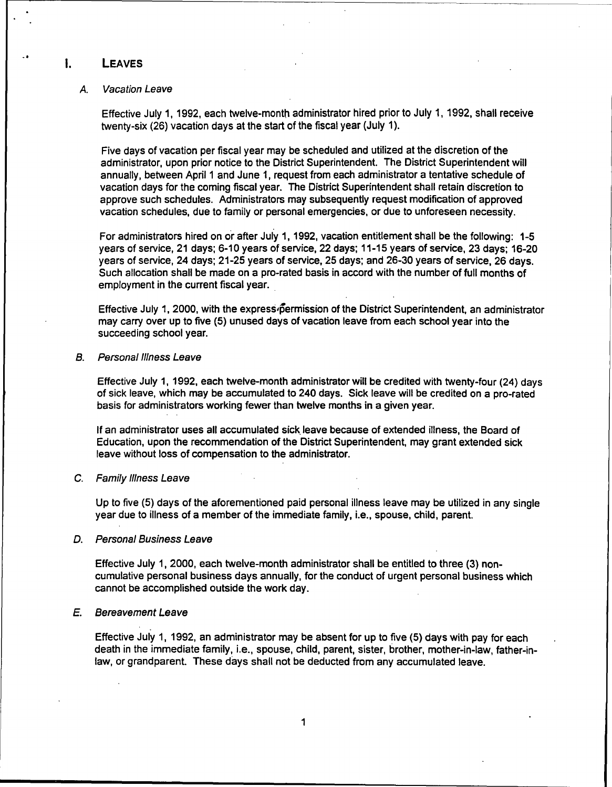### I. LEAVES

..

#### A. Vacation Leave

Effective July 1, 1992, each twelve-month administrator hired prior to July 1, 1992, shall receive twenty-six (26) vacation days at the start of the fiscal year (July 1).

Five days of vacation per fiscal year may be scheduled and utilized at the discretion of the administrator, upon prior notice to the District Superintendent. The District Superintendent will annually, between April 1 and June 1, request from each administrator a tentative schedule of vacation days for the coming fiscal year. The District Superintendent shall retain discretion to approve such schedules. Administrators may subsequently request modification of approved vacation schedules, due to family or personal emergencies, or due to unforeseen necessity.

For administrators hired on or after July 1, 1992, vacation entitlement shall be the following: 1-5 years of service, 21 days; 6-10 years of service, 22 days; 11-15 years of service, 23 days; 16-20 years of service, 24 days; 21-25 years of service, 25 days; and 26-30 years of service, 26 days. Such allocation shall be made on a pro-rated basis in accord with the number of full months of employment in the current fiscal year.

Effective July 1, 2000, with the express permission of the District Superintendent, an administrator may carry over up to five (5) unused days of vacation leave from each school year into the succeeding school year.

#### B. Persona/Illness Leave

Effective July 1, 1992, each twelve-month administrator will be credited with twenty-four (24) days of sick leave, which may be accumulated to 240 days. Sick leave will be credited on a pro-rated basis for administrators working fewer than twelve months in a given year.

If an administrator uses all accumulated sick leave because of extended illness, the Board of Education, upon the recommendation of the District Superintendent, may grant extended sick leave without loss of compensation to the administrator.

#### c. Family Illness Leave

Up to five (5) days of the aforementioned paid personal illness leave may be utilized in any single year due to illness of a member of the immediate family, i.e., spouse, child, parent.

#### D. Personal Business Leave

Effective July 1, 2000, each twelve-month administrator shall be entitled to three (3) noncumulative personal business days annually, for the conduct of urgent personal business which cannot be accomplished outside the work day.

### E. Bereavement Leave

Effective July 1, 1992, an administrator may be absent for up to five (5) days with pay for each death in the immediate family, Le., spouse, child, parent, sister, brother, mother-in-law, father-inlaw, or grandparent. These days shall not be deducted from any accumulated leave.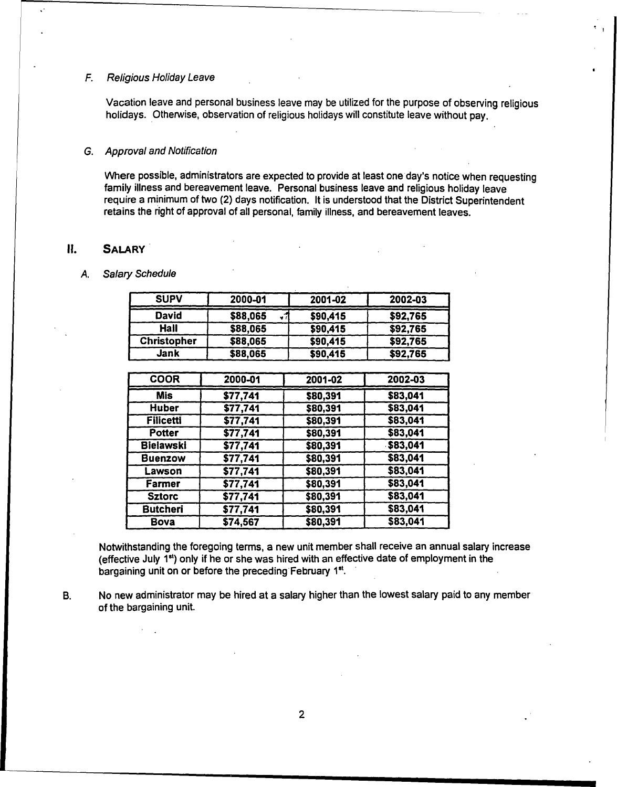### F. Religious Holiday Leave

Vacation leave and personal business leave may be utilized for the purpose of observing religious holidays. Otherwise, observation of religious holidays will constitute leave without pay.

.<br>. I

### G. Approval and Notification

Where possible, administrators are expected to provide at least one day's notice when requesting family illness and bereavement leave. Personal business leave and religious holiday leave require a minimum of two (2) days notification. It is understood that the District Superintendent retains the right of approval of all personal, family illness, and bereavement leaves.

### II. SALARY.

,"

#### A. Salary Schedule

| <b>SUPV</b>        | 2000-01  | 2001-02  | 2002-03  |
|--------------------|----------|----------|----------|
| David              | \$88,065 | \$90,415 | \$92,765 |
| Hall               | \$88,065 | \$90,415 | \$92,765 |
| <b>Christopher</b> | \$88,065 | \$90,415 | \$92,765 |
| Jank               | \$88,065 | \$90,415 | \$92,765 |

| <b>COOR</b>      | 2000-01  | 2001-02  | 2002-03  |
|------------------|----------|----------|----------|
| Mis              | \$77,741 | \$80,391 | \$83,041 |
| <b>Huber</b>     | \$77,741 | \$80,391 | \$83,041 |
| <b>Filicetti</b> | \$77,741 | \$80,391 | \$83,041 |
| <b>Potter</b>    | \$77,741 | \$80,391 | \$83,041 |
| <b>Bielawski</b> | \$77,741 | \$80,391 | \$83,041 |
| <b>Buenzow</b>   | \$77,741 | \$80,391 | \$83,041 |
| Lawson           | \$77,741 | \$80,391 | \$83,041 |
| Farmer           | \$77,741 | \$80,391 | \$83,041 |
| <b>Sztorc</b>    | \$77,741 | \$80,391 | \$83,041 |
| <b>Butcheri</b>  | \$77,741 | \$80,391 | \$83,041 |
| Bova             | \$74,567 | \$80,391 | \$83,041 |

Notwithstanding the foregoing terms, a new unit member shall receive an annual salary increase (effective July 181) only if he or she was hired with an effective date of employment in the bargaining unit on or before the preceding February 1<sup>st</sup>. .

B. No new administrator may be hired at a salary higher than the lowest salary paid to any member of the bargaining unit.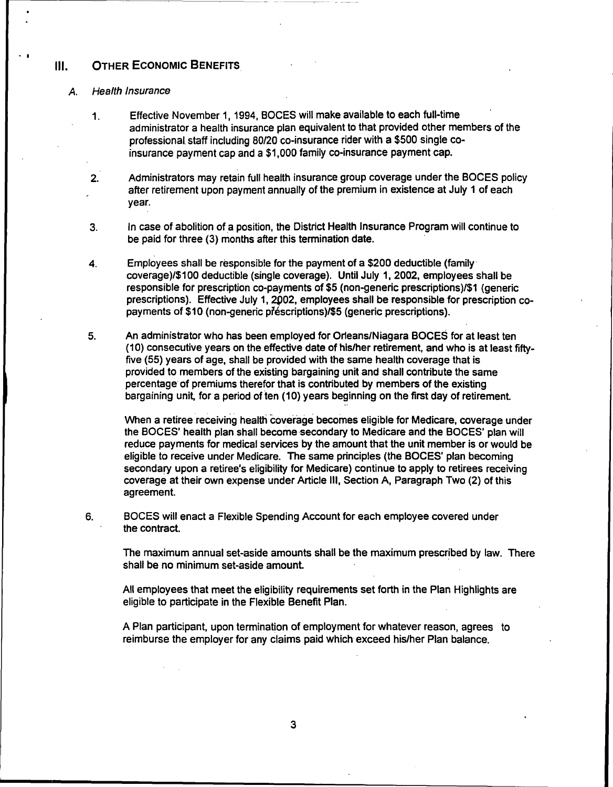#### III. OTHER ECONOMIC BENEFITS

#### A. Health Insurance

. I

- 1. Effective November 1, 1994, SOGES will make available to each full-time administrator a health insurance plan equivalent to that provided other members of the professional staff including 80/20 co-insurance rider with a \$500 single coinsurance payment cap and a \$1,000 family co-insurance payment cap.
- 2. Administrators may retain full health insurance group coverage under the SOGES policy after retirement upon payment annually of the premium in existence at July 1 of each year.
- 3. In case of abolition of a position, the District Health Insurance Program will continue to be paid for three (3) months after this termination date.
- 4. Employees shall be responsible for the payment of a \$200 deductible (family' coverage)/\$100 deductible (single coverage). Until July 1,2002, employees shall be responsible fot prescription co-payments of \$5 (non-generic prescriptions)/\$1 (generic prescriptions). Effective July 1, 2002, employees shall be responsible for prescription copayments of \$10 (non-generic prescriptions)/\$5 (generic prescriptions).
- An administrator who has been employed for Orleans/Niagara BOGES for at least ten (10) consecutive years on the effective date of his/her retirement, and who is at least fiftyfive (55) years of age, shall be provided with the same health coverage that is provided to members of the existing bargaining unit and shall contribute the same percentage' of premiums therefor that is contributed by members of the existing bargaining unit, for a period of ten (10) years beginning on the first day of retirement. 5.

When a retiree receiving health coverage becomes eligible for Medicare, coverage under the BOCES' health plan shall become secondary to Medicare and the BOCES' plan will reduce payments for medical services by the amount that the unit member is or would be eligible to receive under Medicare. The same principles (the BOGES' plan becoming secondary upon a retiree's eligibility for Medicare) continue to apply to retirees receiving coverage at their own expense under Article III, Section A, Paragraph Two (2) of this agreement.

6. SOGES will enact a Flexible Spending Account for each employee covered under the contract.

The maximum annual set-aside amounts shall be the maximum prescribed by law. There shall be no minimum set-aside amount.

All employees that meet the eligibility requirements set forth in the Plan Highlights are eligible to participate in the Flexible Benefit Plan.

A Plan participant, upon termination of employment for whatever reason, agrees to reimburse the employer for any claims paid which exceed his/her Plan balance.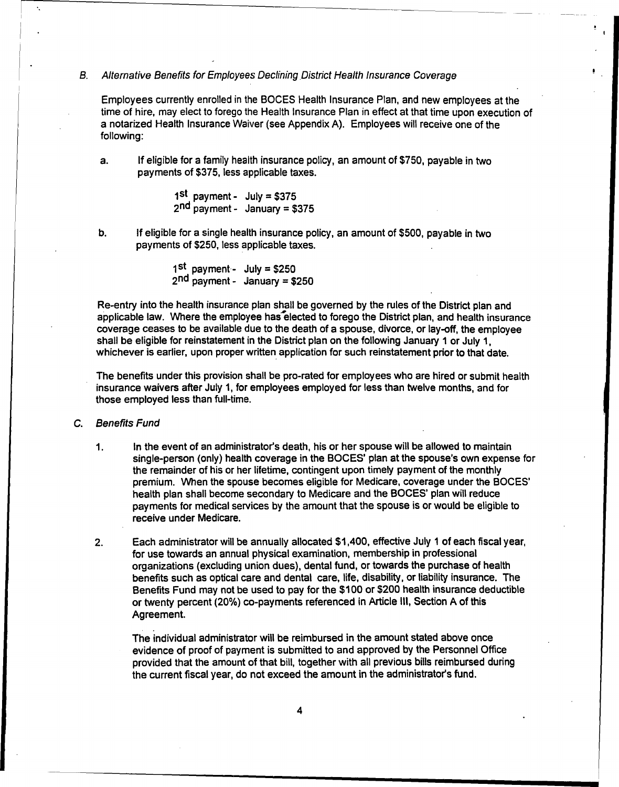#### B. *Alternative Benefits for Employees Declining .District Health Insurance Coverage*

Employees currentlyenrolledin the SOCES Health Insurance Plan, and new employees at the time of hire, may elect to forego the Health Insurance Plan in effect at that time upon execution of a notarized Health Insurance Waiver (see Appendix A). Employees will receive one of the following:

a. If eligible for a family health insurance policy, an amount of \$750, payable in two payments of \$375, less applicable taxes.

> 1<sup>st</sup> payment - July = \$375  $2<sup>nd</sup>$  payment - January = \$37

'.

b. If eligible for a single health insurance policy, an amount of \$500, payable in two payments of \$250, less applicable taxes.

> 1<sup>st</sup> payment - July = \$25  $2<sup>nd</sup>$  payment - January = \$250

Re-entry into the health insurance plan shall be governed by the rules of the District plan and applicable law. Where the employee has elected to forego the District plan, and health insurance coverage ceases to be available due to the death of a spouse, divorce, or lay-off, the employee shall be eligible for reinstatement in the District plan on the following January 1 or July 1, whichever is earlier, upon proper written application for such reinstatement prior to that date.

The benefits under this provision shall be pro-rated for employees who are hired or submit health insurance waivers after July 1, for employees employed for less than twelve months, and for those employed less than full-time.

### C. Benefits Fund

- 1. In the event of an administrators death, his or her spouse will be allowed to maintain single-person (only) health coverage in the SOGES' plan at the spouse's own expense for the remainder of his or her lifetime, contingent upon timely payment of the monthly premium. When the spouse becomes eligible for Medicare, coverage under the BOCES' health plan shall become secondary to Medicare and the SOGES' plan will reduce payments for medical services by the amount that the spouse is or would be eligible to receive under Medicare.
- 2. Each administrator will be annually allocated \$1,400, effective July 1 of each fiscal year, for use towards an annual physical examination, membership in professional organizations (excluding union dues), dental fund, or towards the purchase of health benefits such as optical care and dental care, life, disability, or liability insurance. The Benefits Fund may not be used to pay for the \$100 or \$200 health insurance deductible or twenty percent (20%) co-payments referenced in Article III, Section A of this Agreement.

The individual administrator will be reimbursed in the amount stated above once evidence of proof of payment is submitted to and approved by the Personnel Office provided that the amount of that bill, together with all previous bills reimbursed during the current fiscal year, do not exceed the amount in the administrator's fund.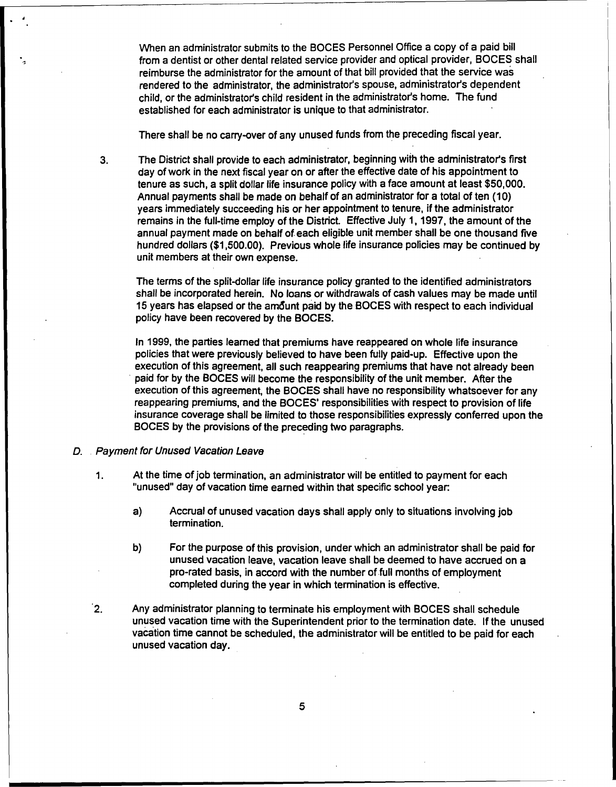When an administrator submits to the BOCES Personnel Office a copy of a paid bill from a dentist or other dental related service provider and optical provider, BOCES shall reimburse the administrator for the amount of that bill provided that the service was rendered to the administrator, the administrator's spouse, administrator's dependent child, or the administrator's child resident in the administrator's home. The fund established for each administrator is unique to that administrator.

There shall be no carry-over of any unused funds from the preceding fiscal year.

3. The District shall provide to each administrator, beginning with the administrator's first day of work in the next fiscal year on or after the effective date of his appointment to tenure as such, a split dollar life insurance policy with a face amount at least \$50,000. Annual payments shall be made on behalf of an administrator for a total of ten (10) years immediately succeeding his or her appointment to tenure, if the administrator remains in the full-time employ of the District. Effective July 1, 1997, the amount of the annual payment made on behalf of each eligible unit member shall be one thousand five hundred dollars (\$1,500.00). Previous whole life insurance policies may be continued by unit members at their own expense.

The terms of the split-dollar life insurance policy granted to the identified administrators shall be incorporated herein. No loans or withdrawals of cash values may be made until 15 years has elapsed or the amount paid by the BOCES with respect to each individual policyhave been recovered by the SOGES.

In 1999, the parties learned that premiums have reappeared on whole life insurance policies that were previously believed to have been fully paid-up. Effective upon the execution of this agreement, all such reappearing premiums that have not already been paid for by the BOCES will become the responsibility of the unit member. After the execution of this agreement, the BOCES shall have no responsibility whatsoever for any reappearing premiums, and the BOCES' responsibilities with respect to provision of life insurance coverage shall be limited to those responsibilities expressly conferred upon the BOCES by the provisions of the preceding two paragraphs.

*D.* . *Payment for Unused Vacation Leave*

.

"

- 1. At the time of job termination, an administrator will be entitled to payment for each "unused" day of vacation time earned within that specific school year:
	- a) Accrual of unused vacation days shall apply only to situations involving job termination.
	- b) For the purpose of this provision, under which an administrator shall be paid for unused vacation leave, vacation leave shall be deemed to have accrued on a pro-rated basis, in accord with the number offull months of employment completed during the year in which termination is effective.
- $2.$ Anyadministrator planning to terminate his employment with SOGES shall schedule unused vacation time with the Superintendent prior to the termination date. If the unused vacation time cannot be scheduled, the administrator willbe entitled to be paid for each unused vacation day.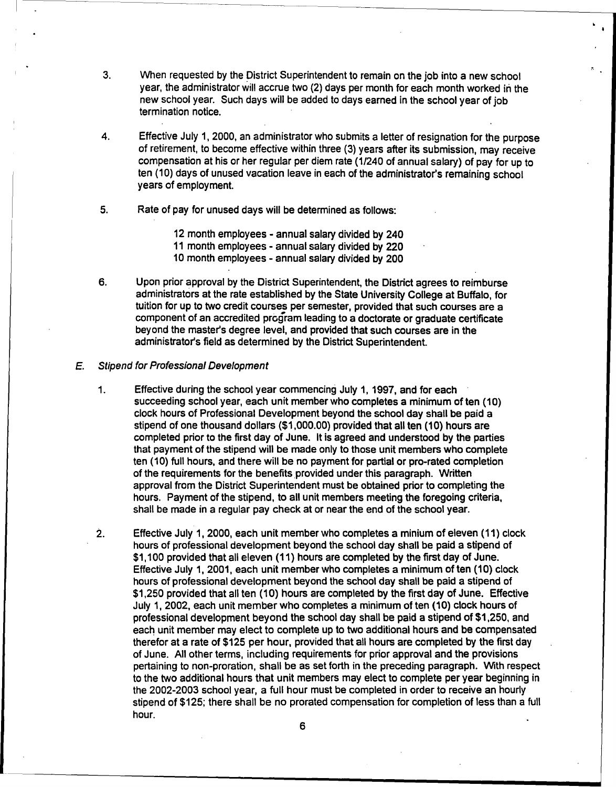- 3. When requested by the District Superintendent to remain on the job into a new school year, the administrator will accrue two (2) days per month for each month worked in the new school year. Such days will be added to days earned in the school year of job termination notice. .
- 4. Effective July 1, 2000, an administrator who submits a letter of resignation for the purpose of retirement, to become effective within three (3) years after its submission, may receive compensation at his or her regular per diem rate (1/240 of annual salary) of pay for up to ten (10) days of unused vacation leave in each of the administrator's remaining school years of employment.
- 5. Rate of pay for unused days will be determined as follows:

<sup>12</sup> month employees - annual salary divided by <sup>240</sup>

<sup>11</sup> month employees - annual salary divided by <sup>220</sup>

<sup>10</sup> month employees - annual salary divided by <sup>200</sup>

6. Upon prior approval by the District Superintendent, the District agrees to reimburse administrators at the rate established by the State University College at Buffalo, for tuition for up to two credit courses per semester, provided that such courses are a component of an accredited prcgram leading to a doctorate or graduate certificate beyond the master's degree level, and provided that such courses are in the administrator's field as determined by the District Superintendent.

#### E. Stipend for Professional Development

- 1. Effective during the school year commencing July 1, 1997, and for each succeeding school year, each unit member who completes a minimum of ten (10) clock hours of Professional Development beyond the school day shall be paid a stipend of one thousand dollars (\$1,000.00) provided that all ten (10) hours are completed prior to the first day of June. It is agreed and understood by the parties that payment of the stipend will be made only to those unit members who complete ten (10) full hours, and there will be no payment for partial or pro-rated completion of the requirements for the benefits provided under this paragraph. Written approval from the District Superintendent must be obtained prior to completing the hours. Payment of the stipend, to all unit members meeting the foregoing criteria, shall be made in a regular pay check at or near the end of the school year.
- 2. Effective July 1, 2000, each unit member who completes a minium of eleven (11) clock hours of professional development beyond the school day shall be paid a stipend of \$1,100 provided that all eleven (11) hours are completed by the first day of June. Effective July 1,2001, each unit member who completes a minimum often (10) clock hours of professional development beyond the school day shall be paid a stipend of \$1,250 provided that all ten (10) hours are completed by the first day of June. Effective July 1, 2002, each unit member who completes a minimum of ten (10) clock hours of professional development beyond the school day shall be paid a stipend of \$1,250, and each unit member may elect to complete up to two additional hours and be compensated therefor at a rate of \$125 per hour, provided that all hours are completed by the first day of June. All other terms, including requirements for prior approval and the provisions pertaining to non-proration, shall be as set forth in the preceding paragraph. With respect to the two additional hours that unit members may elect to complete per year beginning in the 2002-2003 school year, a full hour must be completed in order to receive an hourly stipend of \$125; there shall be no prorated compensation for completion of less than a full hour.